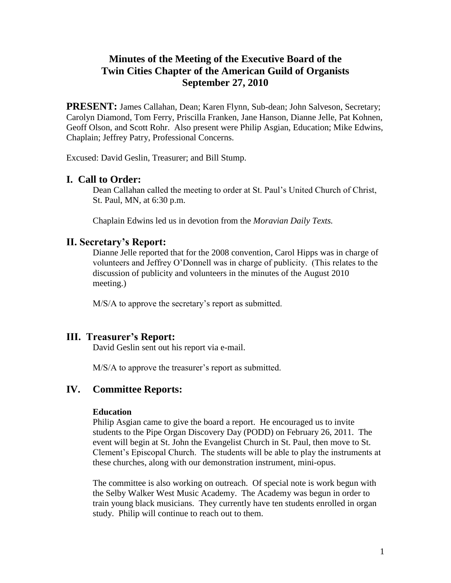# **Minutes of the Meeting of the Executive Board of the Twin Cities Chapter of the American Guild of Organists September 27, 2010**

**PRESENT:** James Callahan, Dean; Karen Flynn, Sub-dean; John Salveson, Secretary; Carolyn Diamond, Tom Ferry, Priscilla Franken, Jane Hanson, Dianne Jelle, Pat Kohnen, Geoff Olson, and Scott Rohr. Also present were Philip Asgian, Education; Mike Edwins, Chaplain; Jeffrey Patry, Professional Concerns.

Excused: David Geslin, Treasurer; and Bill Stump.

## **I. Call to Order:**

Dean Callahan called the meeting to order at St. Paul's United Church of Christ, St. Paul, MN, at 6:30 p.m.

Chaplain Edwins led us in devotion from the *Moravian Daily Texts.*

### **II. Secretary's Report:**

Dianne Jelle reported that for the 2008 convention, Carol Hipps was in charge of volunteers and Jeffrey O'Donnell was in charge of publicity. (This relates to the discussion of publicity and volunteers in the minutes of the August 2010 meeting.)

M/S/A to approve the secretary's report as submitted.

## **III. Treasurer's Report:**

David Geslin sent out his report via e-mail.

M/S/A to approve the treasurer's report as submitted.

## **IV. Committee Reports:**

#### **Education**

Philip Asgian came to give the board a report. He encouraged us to invite students to the Pipe Organ Discovery Day (PODD) on February 26, 2011. The event will begin at St. John the Evangelist Church in St. Paul, then move to St. Clement's Episcopal Church. The students will be able to play the instruments at these churches, along with our demonstration instrument, mini-opus.

The committee is also working on outreach. Of special note is work begun with the Selby Walker West Music Academy. The Academy was begun in order to train young black musicians. They currently have ten students enrolled in organ study. Philip will continue to reach out to them.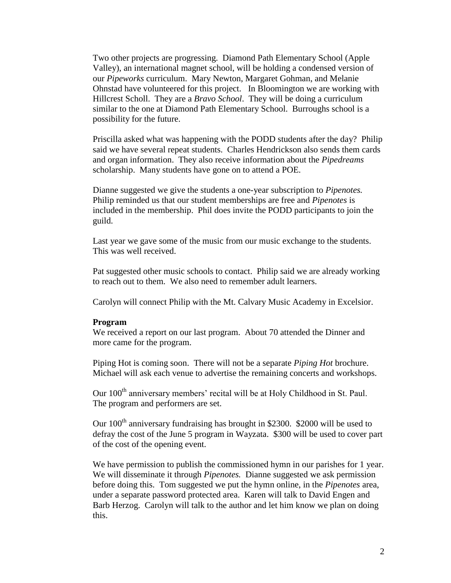Two other projects are progressing. Diamond Path Elementary School (Apple Valley), an international magnet school, will be holding a condensed version of our *Pipeworks* curriculum. Mary Newton, Margaret Gohman, and Melanie Ohnstad have volunteered for this project. In Bloomington we are working with Hillcrest Scholl. They are a *Bravo School*. They will be doing a curriculum similar to the one at Diamond Path Elementary School. Burroughs school is a possibility for the future.

Priscilla asked what was happening with the PODD students after the day? Philip said we have several repeat students. Charles Hendrickson also sends them cards and organ information. They also receive information about the *Pipedreams* scholarship. Many students have gone on to attend a POE.

Dianne suggested we give the students a one-year subscription to *Pipenotes.*  Philip reminded us that our student memberships are free and *Pipenotes* is included in the membership. Phil does invite the PODD participants to join the guild.

Last year we gave some of the music from our music exchange to the students. This was well received.

Pat suggested other music schools to contact. Philip said we are already working to reach out to them. We also need to remember adult learners.

Carolyn will connect Philip with the Mt. Calvary Music Academy in Excelsior.

#### **Program**

We received a report on our last program. About 70 attended the Dinner and more came for the program.

Piping Hot is coming soon. There will not be a separate *Piping Hot* brochure. Michael will ask each venue to advertise the remaining concerts and workshops.

Our 100<sup>th</sup> anniversary members' recital will be at Holy Childhood in St. Paul. The program and performers are set.

Our 100<sup>th</sup> anniversary fundraising has brought in \$2300. \$2000 will be used to defray the cost of the June 5 program in Wayzata. \$300 will be used to cover part of the cost of the opening event.

We have permission to publish the commissioned hymn in our parishes for 1 year. We will disseminate it through *Pipenotes.* Dianne suggested we ask permission before doing this. Tom suggested we put the hymn online, in the *Pipenotes* area, under a separate password protected area. Karen will talk to David Engen and Barb Herzog. Carolyn will talk to the author and let him know we plan on doing this.